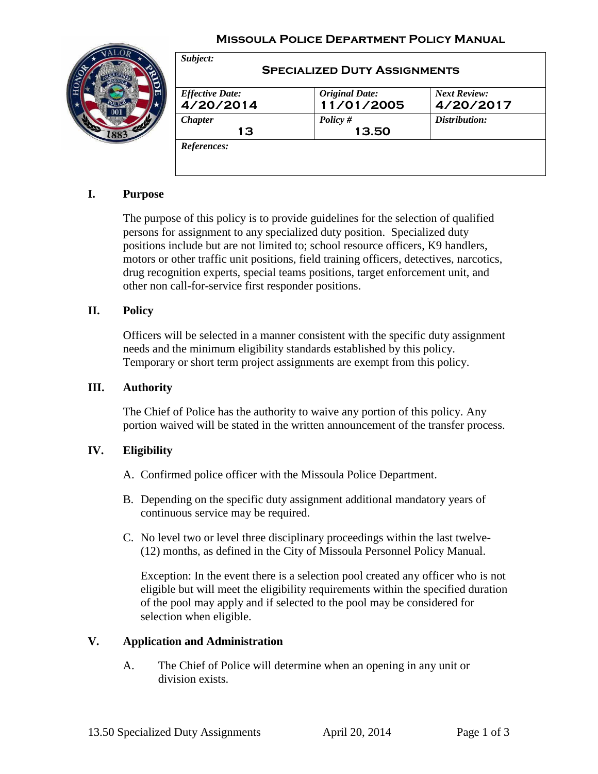### **Missoula Police Department Policy Manual**



| <b>Effective Date:</b> | <b>Original Date:</b> | <b>Next Review:</b> |
|------------------------|-----------------------|---------------------|
| 4/20/2014              | 11/01/2005            | 4/20/2017           |
| <b>Chapter</b><br>13   | Policy $#$<br>13.50   | Distribution:       |

# **I. Purpose**

The purpose of this policy is to provide guidelines for the selection of qualified persons for assignment to any specialized duty position. Specialized duty positions include but are not limited to; school resource officers, K9 handlers, motors or other traffic unit positions, field training officers, detectives, narcotics, drug recognition experts, special teams positions, target enforcement unit, and other non call-for-service first responder positions.

### **II. Policy**

Officers will be selected in a manner consistent with the specific duty assignment needs and the minimum eligibility standards established by this policy. Temporary or short term project assignments are exempt from this policy.

#### **III. Authority**

The Chief of Police has the authority to waive any portion of this policy. Any portion waived will be stated in the written announcement of the transfer process.

#### **IV. Eligibility**

- A. Confirmed police officer with the Missoula Police Department.
- B. Depending on the specific duty assignment additional mandatory years of continuous service may be required.
- C. No level two or level three disciplinary proceedings within the last twelve- (12) months, as defined in the City of Missoula Personnel Policy Manual.

Exception: In the event there is a selection pool created any officer who is not eligible but will meet the eligibility requirements within the specified duration of the pool may apply and if selected to the pool may be considered for selection when eligible.

### **V. Application and Administration**

A. The Chief of Police will determine when an opening in any unit or division exists.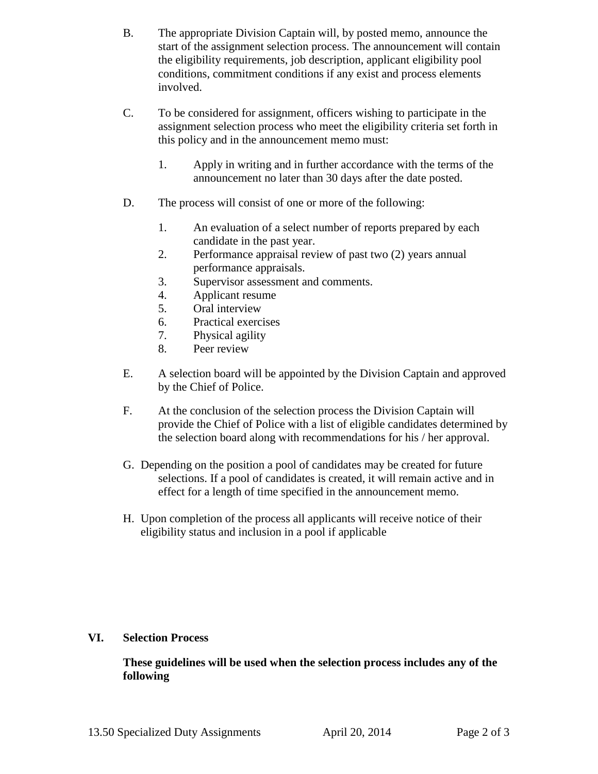- B. The appropriate Division Captain will, by posted memo, announce the start of the assignment selection process. The announcement will contain the eligibility requirements, job description, applicant eligibility pool conditions, commitment conditions if any exist and process elements involved.
- C. To be considered for assignment, officers wishing to participate in the assignment selection process who meet the eligibility criteria set forth in this policy and in the announcement memo must:
	- 1. Apply in writing and in further accordance with the terms of the announcement no later than 30 days after the date posted.
- D. The process will consist of one or more of the following:
	- 1. An evaluation of a select number of reports prepared by each candidate in the past year.
	- 2. Performance appraisal review of past two (2) years annual performance appraisals.
	- 3. Supervisor assessment and comments.
	- 4. Applicant resume
	- 5. Oral interview
	- 6. Practical exercises
	- 7. Physical agility
	- 8. Peer review
- E. A selection board will be appointed by the Division Captain and approved by the Chief of Police.
- F. At the conclusion of the selection process the Division Captain will provide the Chief of Police with a list of eligible candidates determined by the selection board along with recommendations for his / her approval.
- G. Depending on the position a pool of candidates may be created for future selections. If a pool of candidates is created, it will remain active and in effect for a length of time specified in the announcement memo.
- H. Upon completion of the process all applicants will receive notice of their eligibility status and inclusion in a pool if applicable

# **VI. Selection Process**

**These guidelines will be used when the selection process includes any of the following**